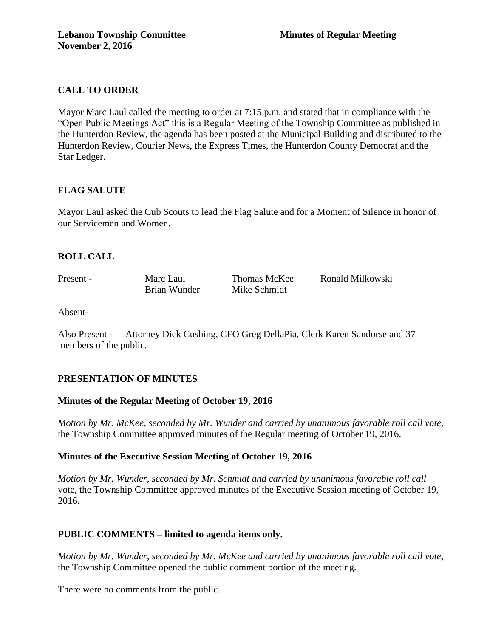# **CALL TO ORDER**

Mayor Marc Laul called the meeting to order at 7:15 p.m. and stated that in compliance with the "Open Public Meetings Act" this is a Regular Meeting of the Township Committee as published in the Hunterdon Review, the agenda has been posted at the Municipal Building and distributed to the Hunterdon Review, Courier News, the Express Times, the Hunterdon County Democrat and the Star Ledger.

# **FLAG SALUTE**

Mayor Laul asked the Cub Scouts to lead the Flag Salute and for a Moment of Silence in honor of our Servicemen and Women.

## **ROLL CALL**

Present - Marc Laul Thomas McKee Ronald Milkowski Brian Wunder Mike Schmidt

Absent-

Also Present - Attorney Dick Cushing, CFO Greg DellaPia, Clerk Karen Sandorse and 37 members of the public.

## **PRESENTATION OF MINUTES**

## **Minutes of the Regular Meeting of October 19, 2016**

*Motion by Mr. McKee, seconded by Mr. Wunder and carried by unanimous favorable roll call vote,*  the Township Committee approved minutes of the Regular meeting of October 19, 2016.

## **Minutes of the Executive Session Meeting of October 19, 2016**

*Motion by Mr. Wunder, seconded by Mr. Schmidt and carried by unanimous favorable roll call*  vote, the Township Committee approved minutes of the Executive Session meeting of October 19, 2016.

# **PUBLIC COMMENTS – limited to agenda items only.**

*Motion by Mr. Wunder, seconded by Mr. McKee and carried by unanimous favorable roll call vote,* the Township Committee opened the public comment portion of the meeting.

There were no comments from the public.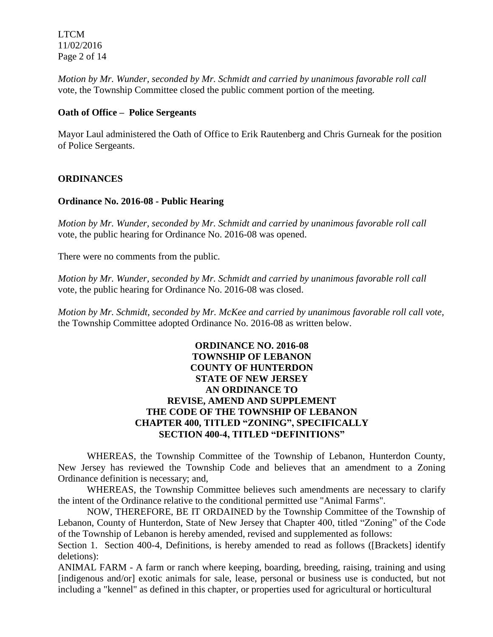LTCM 11/02/2016 Page 2 of 14

*Motion by Mr. Wunder, seconded by Mr. Schmidt and carried by unanimous favorable roll call*  vote, the Township Committee closed the public comment portion of the meeting.

## **Oath of Office – Police Sergeants**

Mayor Laul administered the Oath of Office to Erik Rautenberg and Chris Gurneak for the position of Police Sergeants.

## **ORDINANCES**

#### **Ordinance No. 2016-08 - Public Hearing**

*Motion by Mr. Wunder, seconded by Mr. Schmidt and carried by unanimous favorable roll call*  vote, the public hearing for Ordinance No. 2016-08 was opened.

There were no comments from the public*.*

*Motion by Mr. Wunder, seconded by Mr. Schmidt and carried by unanimous favorable roll call*  vote, the public hearing for Ordinance No. 2016-08 was closed.

*Motion by Mr. Schmidt, seconded by Mr. McKee and carried by unanimous favorable roll call vote,* the Township Committee adopted Ordinance No. 2016-08 as written below.

# **ORDINANCE NO. 2016-08 TOWNSHIP OF LEBANON COUNTY OF HUNTERDON STATE OF NEW JERSEY AN ORDINANCE TO REVISE, AMEND AND SUPPLEMENT THE CODE OF THE TOWNSHIP OF LEBANON CHAPTER 400, TITLED "ZONING", SPECIFICALLY SECTION 400-4, TITLED "DEFINITIONS"**

WHEREAS, the Township Committee of the Township of Lebanon, Hunterdon County, New Jersey has reviewed the Township Code and believes that an amendment to a Zoning Ordinance definition is necessary; and,

WHEREAS, the Township Committee believes such amendments are necessary to clarify the intent of the Ordinance relative to the conditional permitted use "Animal Farms".

NOW, THEREFORE, BE IT ORDAINED by the Township Committee of the Township of Lebanon, County of Hunterdon, State of New Jersey that Chapter 400, titled "Zoning" of the Code of the Township of Lebanon is hereby amended, revised and supplemented as follows:

Section 1. Section 400-4, Definitions, is hereby amended to read as follows ([Brackets] identify deletions):

ANIMAL FARM - A farm or ranch where keeping, boarding, breeding, raising, training and using [indigenous and/or] exotic animals for sale, lease, personal or business use is conducted, but not including a "kennel" as defined in this chapter, or properties used for agricultural or horticultural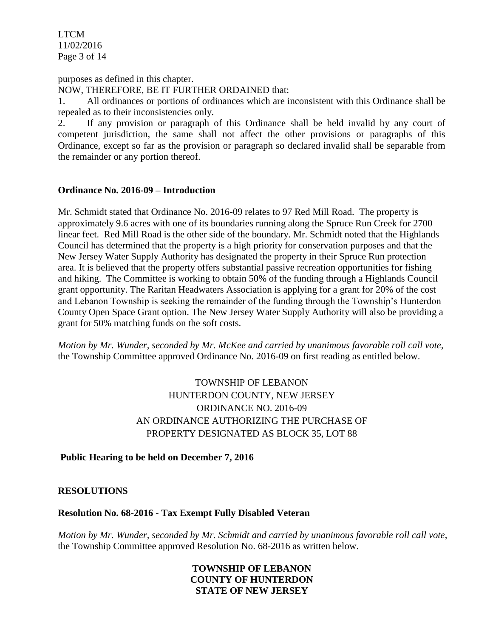LTCM 11/02/2016 Page 3 of 14

purposes as defined in this chapter. NOW, THEREFORE, BE IT FURTHER ORDAINED that:

1. All ordinances or portions of ordinances which are inconsistent with this Ordinance shall be repealed as to their inconsistencies only.

2. If any provision or paragraph of this Ordinance shall be held invalid by any court of competent jurisdiction, the same shall not affect the other provisions or paragraphs of this Ordinance, except so far as the provision or paragraph so declared invalid shall be separable from the remainder or any portion thereof.

## **Ordinance No. 2016-09 – Introduction**

Mr. Schmidt stated that Ordinance No. 2016-09 relates to 97 Red Mill Road. The property is approximately 9.6 acres with one of its boundaries running along the Spruce Run Creek for 2700 linear feet. Red Mill Road is the other side of the boundary. Mr. Schmidt noted that the Highlands Council has determined that the property is a high priority for conservation purposes and that the New Jersey Water Supply Authority has designated the property in their Spruce Run protection area. It is believed that the property offers substantial passive recreation opportunities for fishing and hiking. The Committee is working to obtain 50% of the funding through a Highlands Council grant opportunity. The Raritan Headwaters Association is applying for a grant for 20% of the cost and Lebanon Township is seeking the remainder of the funding through the Township's Hunterdon County Open Space Grant option. The New Jersey Water Supply Authority will also be providing a grant for 50% matching funds on the soft costs.

*Motion by Mr. Wunder, seconded by Mr. McKee and carried by unanimous favorable roll call vote,* the Township Committee approved Ordinance No. 2016-09 on first reading as entitled below.

> TOWNSHIP OF LEBANON HUNTERDON COUNTY, NEW JERSEY ORDINANCE NO. 2016-09 AN ORDINANCE AUTHORIZING THE PURCHASE OF PROPERTY DESIGNATED AS BLOCK 35, LOT 88

**Public Hearing to be held on December 7, 2016**

# **RESOLUTIONS**

## **Resolution No. 68-2016 - Tax Exempt Fully Disabled Veteran**

*Motion by Mr. Wunder, seconded by Mr. Schmidt and carried by unanimous favorable roll call vote*, the Township Committee approved Resolution No. 68-2016 as written below.

# **TOWNSHIP OF LEBANON COUNTY OF HUNTERDON STATE OF NEW JERSEY**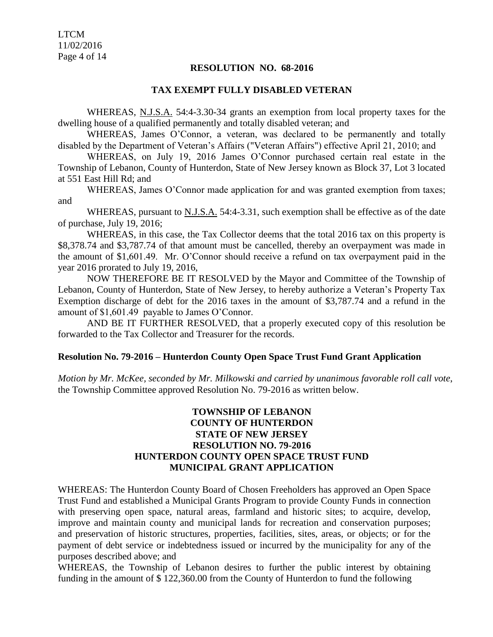LTCM 11/02/2016 Page 4 of 14

#### **RESOLUTION NO. 68-2016**

#### **TAX EXEMPT FULLY DISABLED VETERAN**

WHEREAS, N.J.S.A. 54:4-3.30-34 grants an exemption from local property taxes for the dwelling house of a qualified permanently and totally disabled veteran; and

WHEREAS, James O'Connor, a veteran, was declared to be permanently and totally disabled by the Department of Veteran's Affairs ("Veteran Affairs") effective April 21, 2010; and

WHEREAS, on July 19, 2016 James O'Connor purchased certain real estate in the Township of Lebanon, County of Hunterdon, State of New Jersey known as Block 37, Lot 3 located at 551 East Hill Rd; and

WHEREAS, James O'Connor made application for and was granted exemption from taxes; and

WHEREAS, pursuant to  $N.J.S.A.$  54:4-3.31, such exemption shall be effective as of the date of purchase, July 19, 2016;

WHEREAS, in this case, the Tax Collector deems that the total 2016 tax on this property is \$8,378.74 and \$3,787.74 of that amount must be cancelled, thereby an overpayment was made in the amount of \$1,601.49. Mr. O'Connor should receive a refund on tax overpayment paid in the year 2016 prorated to July 19, 2016,

NOW THEREFORE BE IT RESOLVED by the Mayor and Committee of the Township of Lebanon, County of Hunterdon, State of New Jersey, to hereby authorize a Veteran's Property Tax Exemption discharge of debt for the 2016 taxes in the amount of \$3,787.74 and a refund in the amount of \$1,601.49 payable to James O'Connor.

AND BE IT FURTHER RESOLVED, that a properly executed copy of this resolution be forwarded to the Tax Collector and Treasurer for the records.

#### **Resolution No. 79-2016 – Hunterdon County Open Space Trust Fund Grant Application**

*Motion by Mr. McKee, seconded by Mr. Milkowski and carried by unanimous favorable roll call vote*, the Township Committee approved Resolution No. 79-2016 as written below.

## **TOWNSHIP OF LEBANON COUNTY OF HUNTERDON STATE OF NEW JERSEY RESOLUTION NO. 79-2016 HUNTERDON COUNTY OPEN SPACE TRUST FUND MUNICIPAL GRANT APPLICATION**

WHEREAS: The Hunterdon County Board of Chosen Freeholders has approved an Open Space Trust Fund and established a Municipal Grants Program to provide County Funds in connection with preserving open space, natural areas, farmland and historic sites; to acquire, develop, improve and maintain county and municipal lands for recreation and conservation purposes; and preservation of historic structures, properties, facilities, sites, areas, or objects; or for the payment of debt service or indebtedness issued or incurred by the municipality for any of the purposes described above; and

WHEREAS, the Township of Lebanon desires to further the public interest by obtaining funding in the amount of \$ 122,360.00 from the County of Hunterdon to fund the following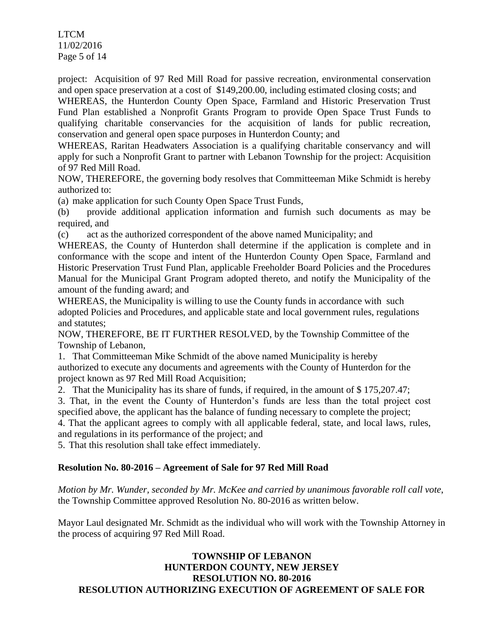LTCM 11/02/2016 Page 5 of 14

project: Acquisition of 97 Red Mill Road for passive recreation, environmental conservation and open space preservation at a cost of \$149,200.00, including estimated closing costs; and

WHEREAS, the Hunterdon County Open Space, Farmland and Historic Preservation Trust Fund Plan established a Nonprofit Grants Program to provide Open Space Trust Funds to qualifying charitable conservancies for the acquisition of lands for public recreation, conservation and general open space purposes in Hunterdon County; and

WHEREAS, Raritan Headwaters Association is a qualifying charitable conservancy and will apply for such a Nonprofit Grant to partner with Lebanon Township for the project: Acquisition of 97 Red Mill Road.

NOW, THEREFORE, the governing body resolves that Committeeman Mike Schmidt is hereby authorized to:

(a) make application for such County Open Space Trust Funds,

(b) provide additional application information and furnish such documents as may be required, and

(c) act as the authorized correspondent of the above named Municipality; and

WHEREAS, the County of Hunterdon shall determine if the application is complete and in conformance with the scope and intent of the Hunterdon County Open Space, Farmland and Historic Preservation Trust Fund Plan, applicable Freeholder Board Policies and the Procedures Manual for the Municipal Grant Program adopted thereto, and notify the Municipality of the amount of the funding award; and

WHEREAS, the Municipality is willing to use the County funds in accordance with such adopted Policies and Procedures, and applicable state and local government rules, regulations and statutes;

NOW, THEREFORE, BE IT FURTHER RESOLVED, by the Township Committee of the Township of Lebanon,

1. That Committeeman Mike Schmidt of the above named Municipality is hereby authorized to execute any documents and agreements with the County of Hunterdon for the project known as 97 Red Mill Road Acquisition;

2. That the Municipality has its share of funds, if required, in the amount of \$ 175,207.47;

3. That, in the event the County of Hunterdon's funds are less than the total project cost specified above, the applicant has the balance of funding necessary to complete the project; 4. That the applicant agrees to comply with all applicable federal, state, and local laws, rules,

and regulations in its performance of the project; and

5. That this resolution shall take effect immediately.

## **Resolution No. 80-2016 – Agreement of Sale for 97 Red Mill Road**

*Motion by Mr. Wunder, seconded by Mr. McKee and carried by unanimous favorable roll call vote*, the Township Committee approved Resolution No. 80-2016 as written below.

Mayor Laul designated Mr. Schmidt as the individual who will work with the Township Attorney in the process of acquiring 97 Red Mill Road.

# **TOWNSHIP OF LEBANON HUNTERDON COUNTY, NEW JERSEY RESOLUTION NO. 80-2016 RESOLUTION AUTHORIZING EXECUTION OF AGREEMENT OF SALE FOR**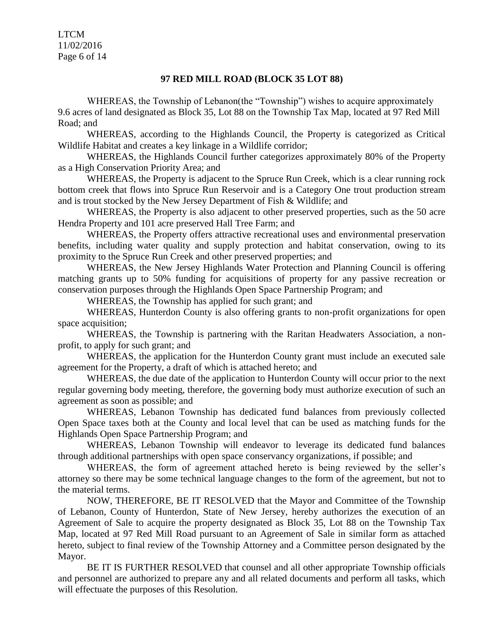LTCM 11/02/2016 Page 6 of 14

#### **97 RED MILL ROAD (BLOCK 35 LOT 88)**

WHEREAS, the Township of Lebanon(the "Township") wishes to acquire approximately 9.6 acres of land designated as Block 35, Lot 88 on the Township Tax Map, located at 97 Red Mill Road; and

WHEREAS, according to the Highlands Council, the Property is categorized as Critical Wildlife Habitat and creates a key linkage in a Wildlife corridor;

WHEREAS, the Highlands Council further categorizes approximately 80% of the Property as a High Conservation Priority Area; and

WHEREAS, the Property is adjacent to the Spruce Run Creek, which is a clear running rock bottom creek that flows into Spruce Run Reservoir and is a Category One trout production stream and is trout stocked by the New Jersey Department of Fish & Wildlife; and

WHEREAS, the Property is also adjacent to other preserved properties, such as the 50 acre Hendra Property and 101 acre preserved Hall Tree Farm; and

WHEREAS, the Property offers attractive recreational uses and environmental preservation benefits, including water quality and supply protection and habitat conservation, owing to its proximity to the Spruce Run Creek and other preserved properties; and

WHEREAS, the New Jersey Highlands Water Protection and Planning Council is offering matching grants up to 50% funding for acquisitions of property for any passive recreation or conservation purposes through the Highlands Open Space Partnership Program; and

WHEREAS, the Township has applied for such grant; and

WHEREAS, Hunterdon County is also offering grants to non-profit organizations for open space acquisition;

WHEREAS, the Township is partnering with the Raritan Headwaters Association, a nonprofit, to apply for such grant; and

WHEREAS, the application for the Hunterdon County grant must include an executed sale agreement for the Property, a draft of which is attached hereto; and

WHEREAS, the due date of the application to Hunterdon County will occur prior to the next regular governing body meeting, therefore, the governing body must authorize execution of such an agreement as soon as possible; and

WHEREAS, Lebanon Township has dedicated fund balances from previously collected Open Space taxes both at the County and local level that can be used as matching funds for the Highlands Open Space Partnership Program; and

WHEREAS, Lebanon Township will endeavor to leverage its dedicated fund balances through additional partnerships with open space conservancy organizations, if possible; and

WHEREAS, the form of agreement attached hereto is being reviewed by the seller's attorney so there may be some technical language changes to the form of the agreement, but not to the material terms.

NOW, THEREFORE, BE IT RESOLVED that the Mayor and Committee of the Township of Lebanon, County of Hunterdon, State of New Jersey, hereby authorizes the execution of an Agreement of Sale to acquire the property designated as Block 35, Lot 88 on the Township Tax Map, located at 97 Red Mill Road pursuant to an Agreement of Sale in similar form as attached hereto, subject to final review of the Township Attorney and a Committee person designated by the Mayor.

BE IT IS FURTHER RESOLVED that counsel and all other appropriate Township officials and personnel are authorized to prepare any and all related documents and perform all tasks, which will effectuate the purposes of this Resolution.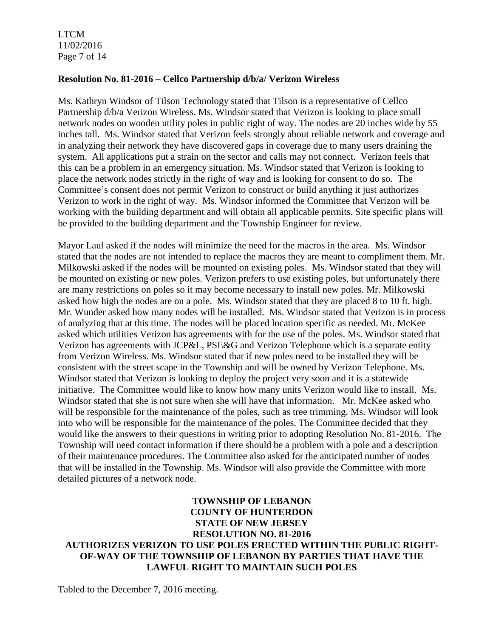LTCM 11/02/2016 Page 7 of 14

## **Resolution No. 81-2016 – Cellco Partnership d/b/a/ Verizon Wireless**

Ms. Kathryn Windsor of Tilson Technology stated that Tilson is a representative of Cellco Partnership d/b/a Verizon Wireless. Ms. Windsor stated that Verizon is looking to place small network nodes on wooden utility poles in public right of way. The nodes are 20 inches wide by 55 inches tall. Ms. Windsor stated that Verizon feels strongly about reliable network and coverage and in analyzing their network they have discovered gaps in coverage due to many users draining the system. All applications put a strain on the sector and calls may not connect. Verizon feels that this can be a problem in an emergency situation. Ms. Windsor stated that Verizon is looking to place the network nodes strictly in the right of way and is looking for consent to do so. The Committee's consent does not permit Verizon to construct or build anything it just authorizes Verizon to work in the right of way. Ms. Windsor informed the Committee that Verizon will be working with the building department and will obtain all applicable permits. Site specific plans will be provided to the building department and the Township Engineer for review.

Mayor Laul asked if the nodes will minimize the need for the macros in the area. Ms. Windsor stated that the nodes are not intended to replace the macros they are meant to compliment them. Mr. Milkowski asked if the nodes will be mounted on existing poles. Ms. Windsor stated that they will be mounted on existing or new poles. Verizon prefers to use existing poles, but unfortunately there are many restrictions on poles so it may become necessary to install new poles. Mr. Milkowski asked how high the nodes are on a pole. Ms. Windsor stated that they are placed 8 to 10 ft. high. Mr. Wunder asked how many nodes will be installed. Ms. Windsor stated that Verizon is in process of analyzing that at this time. The nodes will be placed location specific as needed. Mr. McKee asked which utilities Verizon has agreements with for the use of the poles. Ms. Windsor stated that Verizon has agreements with JCP&L, PSE&G and Verizon Telephone which is a separate entity from Verizon Wireless. Ms. Windsor stated that if new poles need to be installed they will be consistent with the street scape in the Township and will be owned by Verizon Telephone. Ms. Windsor stated that Verizon is looking to deploy the project very soon and it is a statewide initiative. The Committee would like to know how many units Verizon would like to install. Ms. Windsor stated that she is not sure when she will have that information. Mr. McKee asked who will be responsible for the maintenance of the poles, such as tree trimming. Ms. Windsor will look into who will be responsible for the maintenance of the poles. The Committee decided that they would like the answers to their questions in writing prior to adopting Resolution No. 81-2016. The Township will need contact information if there should be a problem with a pole and a description of their maintenance procedures. The Committee also asked for the anticipated number of nodes that will be installed in the Township. Ms. Windsor will also provide the Committee with more detailed pictures of a network node.

# **TOWNSHIP OF LEBANON COUNTY OF HUNTERDON STATE OF NEW JERSEY RESOLUTION NO. 81-2016 AUTHORIZES VERIZON TO USE POLES ERECTED WITHIN THE PUBLIC RIGHT-OF-WAY OF THE TOWNSHIP OF LEBANON BY PARTIES THAT HAVE THE LAWFUL RIGHT TO MAINTAIN SUCH POLES**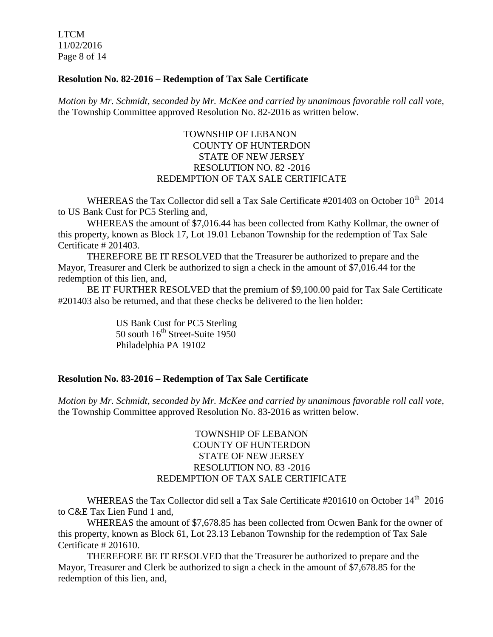LTCM 11/02/2016 Page 8 of 14

## **Resolution No. 82-2016 – Redemption of Tax Sale Certificate**

*Motion by Mr. Schmidt, seconded by Mr. McKee and carried by unanimous favorable roll call vote*, the Township Committee approved Resolution No. 82-2016 as written below.

## TOWNSHIP OF LEBANON COUNTY OF HUNTERDON STATE OF NEW JERSEY RESOLUTION NO. 82 -2016 REDEMPTION OF TAX SALE CERTIFICATE

WHEREAS the Tax Collector did sell a Tax Sale Certificate  $\#201403$  on October  $10^{th}$  2014 to US Bank Cust for PC5 Sterling and,

WHEREAS the amount of \$7,016.44 has been collected from Kathy Kollmar, the owner of this property, known as Block 17, Lot 19.01 Lebanon Township for the redemption of Tax Sale Certificate # 201403.

THEREFORE BE IT RESOLVED that the Treasurer be authorized to prepare and the Mayor, Treasurer and Clerk be authorized to sign a check in the amount of \$7,016.44 for the redemption of this lien, and,

BE IT FURTHER RESOLVED that the premium of \$9,100.00 paid for Tax Sale Certificate #201403 also be returned, and that these checks be delivered to the lien holder:

> US Bank Cust for PC5 Sterling 50 south  $16<sup>th</sup>$  Street-Suite 1950 Philadelphia PA 19102

#### **Resolution No. 83-2016 – Redemption of Tax Sale Certificate**

*Motion by Mr. Schmidt, seconded by Mr. McKee and carried by unanimous favorable roll call vote*, the Township Committee approved Resolution No. 83-2016 as written below.

## TOWNSHIP OF LEBANON COUNTY OF HUNTERDON STATE OF NEW JERSEY RESOLUTION NO. 83 -2016 REDEMPTION OF TAX SALE CERTIFICATE

WHEREAS the Tax Collector did sell a Tax Sale Certificate  $\#201610$  on October 14<sup>th</sup> 2016 to C&E Tax Lien Fund 1 and,

WHEREAS the amount of \$7,678.85 has been collected from Ocwen Bank for the owner of this property, known as Block 61, Lot 23.13 Lebanon Township for the redemption of Tax Sale Certificate # 201610.

THEREFORE BE IT RESOLVED that the Treasurer be authorized to prepare and the Mayor, Treasurer and Clerk be authorized to sign a check in the amount of \$7,678.85 for the redemption of this lien, and,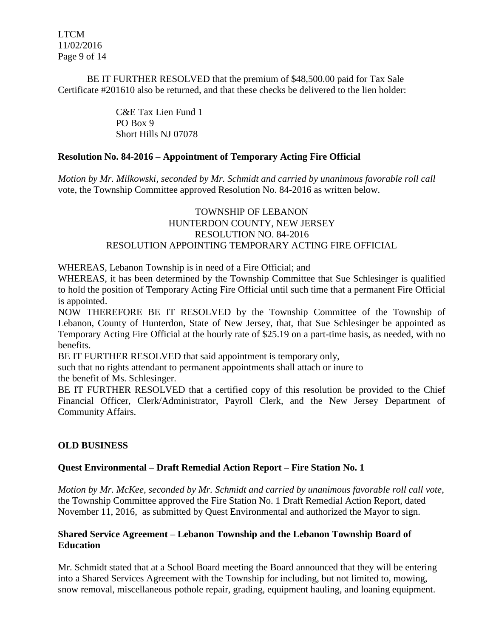LTCM 11/02/2016 Page 9 of 14

BE IT FURTHER RESOLVED that the premium of \$48,500.00 paid for Tax Sale Certificate #201610 also be returned, and that these checks be delivered to the lien holder:

> C&E Tax Lien Fund 1 PO Box 9 Short Hills NJ 07078

## **Resolution No. 84-2016 – Appointment of Temporary Acting Fire Official**

*Motion by Mr. Milkowski, seconded by Mr. Schmidt and carried by unanimous favorable roll call*  vote, the Township Committee approved Resolution No. 84-2016 as written below.

## TOWNSHIP OF LEBANON HUNTERDON COUNTY, NEW JERSEY RESOLUTION NO. 84-2016 RESOLUTION APPOINTING TEMPORARY ACTING FIRE OFFICIAL

WHEREAS, Lebanon Township is in need of a Fire Official; and

WHEREAS, it has been determined by the Township Committee that Sue Schlesinger is qualified to hold the position of Temporary Acting Fire Official until such time that a permanent Fire Official is appointed.

NOW THEREFORE BE IT RESOLVED by the Township Committee of the Township of Lebanon, County of Hunterdon, State of New Jersey, that, that Sue Schlesinger be appointed as Temporary Acting Fire Official at the hourly rate of \$25.19 on a part-time basis, as needed, with no benefits.

BE IT FURTHER RESOLVED that said appointment is temporary only,

such that no rights attendant to permanent appointments shall attach or inure to

the benefit of Ms. Schlesinger.

BE IT FURTHER RESOLVED that a certified copy of this resolution be provided to the Chief Financial Officer, Clerk/Administrator, Payroll Clerk, and the New Jersey Department of Community Affairs.

## **OLD BUSINESS**

## **Quest Environmental – Draft Remedial Action Report – Fire Station No. 1**

*Motion by Mr. McKee, seconded by Mr. Schmidt and carried by unanimous favorable roll call vote*, the Township Committee approved the Fire Station No. 1 Draft Remedial Action Report, dated November 11, 2016, as submitted by Quest Environmental and authorized the Mayor to sign.

## **Shared Service Agreement – Lebanon Township and the Lebanon Township Board of Education**

Mr. Schmidt stated that at a School Board meeting the Board announced that they will be entering into a Shared Services Agreement with the Township for including, but not limited to, mowing, snow removal, miscellaneous pothole repair, grading, equipment hauling, and loaning equipment.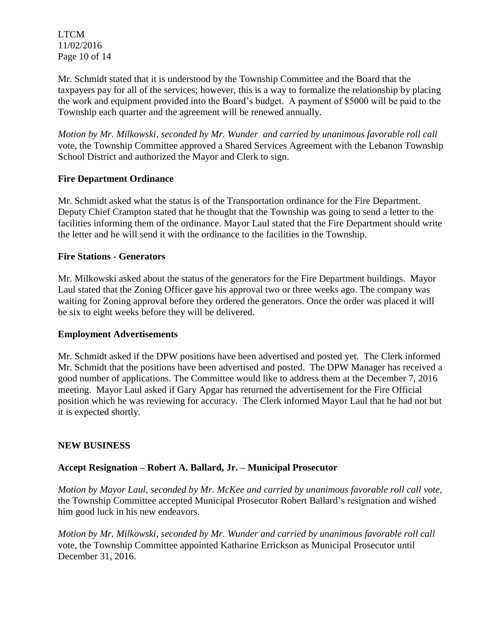LTCM 11/02/2016 Page 10 of 14

Mr. Schmidt stated that it is understood by the Township Committee and the Board that the taxpayers pay for all of the services; however, this is a way to formalize the relationship by placing the work and equipment provided into the Board's budget. A payment of \$5000 will be paid to the Township each quarter and the agreement will be renewed annually.

*Motion by Mr. Milkowski, seconded by Mr. Wunder and carried by unanimous favorable roll call*  vote, the Township Committee approved a Shared Services Agreement with the Lebanon Township School District and authorized the Mayor and Clerk to sign.

# **Fire Department Ordinance**

Mr. Schmidt asked what the status is of the Transportation ordinance for the Fire Department. Deputy Chief Crampton stated that he thought that the Township was going to send a letter to the facilities informing them of the ordinance. Mayor Laul stated that the Fire Department should write the letter and he will send it with the ordinance to the facilities in the Township.

## **Fire Stations - Generators**

Mr. Milkowski asked about the status of the generators for the Fire Department buildings. Mayor Laul stated that the Zoning Officer gave his approval two or three weeks ago. The company was waiting for Zoning approval before they ordered the generators. Once the order was placed it will be six to eight weeks before they will be delivered.

## **Employment Advertisements**

Mr. Schmidt asked if the DPW positions have been advertised and posted yet. The Clerk informed Mr. Schmidt that the positions have been advertised and posted. The DPW Manager has received a good number of applications. The Committee would like to address them at the December 7, 2016 meeting. Mayor Laul asked if Gary Apgar has returned the advertisement for the Fire Official position which he was reviewing for accuracy. The Clerk informed Mayor Laul that he had not but it is expected shortly.

## **NEW BUSINESS**

# **Accept Resignation – Robert A. Ballard, Jr. – Municipal Prosecutor**

*Motion by Mayor Laul, seconded by Mr. McKee and carried by unanimous favorable roll call vote,* the Township Committee accepted Municipal Prosecutor Robert Ballard's resignation and wished him good luck in his new endeavors.

*Motion by Mr. Milkowski, seconded by Mr. Wunder and carried by unanimous favorable roll call*  vote, the Township Committee appointed Katharine Errickson as Municipal Prosecutor until December 31, 2016.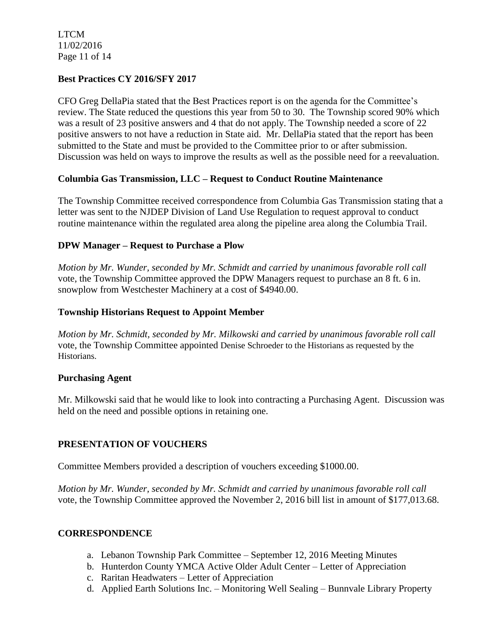LTCM 11/02/2016 Page 11 of 14

# **Best Practices CY 2016/SFY 2017**

CFO Greg DellaPia stated that the Best Practices report is on the agenda for the Committee's review. The State reduced the questions this year from 50 to 30. The Township scored 90% which was a result of 23 positive answers and 4 that do not apply. The Township needed a score of 22 positive answers to not have a reduction in State aid. Mr. DellaPia stated that the report has been submitted to the State and must be provided to the Committee prior to or after submission. Discussion was held on ways to improve the results as well as the possible need for a reevaluation.

## **Columbia Gas Transmission, LLC – Request to Conduct Routine Maintenance**

The Township Committee received correspondence from Columbia Gas Transmission stating that a letter was sent to the NJDEP Division of Land Use Regulation to request approval to conduct routine maintenance within the regulated area along the pipeline area along the Columbia Trail.

## **DPW Manager – Request to Purchase a Plow**

*Motion by Mr. Wunder, seconded by Mr. Schmidt and carried by unanimous favorable roll call*  vote, the Township Committee approved the DPW Managers request to purchase an 8 ft. 6 in. snowplow from Westchester Machinery at a cost of \$4940.00.

## **Township Historians Request to Appoint Member**

*Motion by Mr. Schmidt, seconded by Mr. Milkowski and carried by unanimous favorable roll call*  vote, the Township Committee appointed Denise Schroeder to the Historians as requested by the Historians.

## **Purchasing Agent**

Mr. Milkowski said that he would like to look into contracting a Purchasing Agent. Discussion was held on the need and possible options in retaining one.

# **PRESENTATION OF VOUCHERS**

Committee Members provided a description of vouchers exceeding \$1000.00.

*Motion by Mr. Wunder, seconded by Mr. Schmidt and carried by unanimous favorable roll call*  vote, the Township Committee approved the November 2, 2016 bill list in amount of \$177,013.68.

## **CORRESPONDENCE**

- a. Lebanon Township Park Committee September 12, 2016 Meeting Minutes
- b. Hunterdon County YMCA Active Older Adult Center Letter of Appreciation
- c. Raritan Headwaters Letter of Appreciation
- d. Applied Earth Solutions Inc. Monitoring Well Sealing Bunnvale Library Property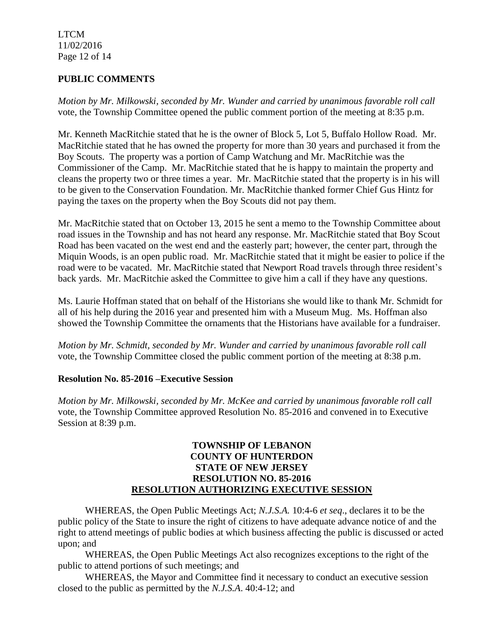LTCM 11/02/2016 Page 12 of 14

# **PUBLIC COMMENTS**

*Motion by Mr. Milkowski, seconded by Mr. Wunder and carried by unanimous favorable roll call*  vote, the Township Committee opened the public comment portion of the meeting at 8:35 p.m.

Mr. Kenneth MacRitchie stated that he is the owner of Block 5, Lot 5, Buffalo Hollow Road. Mr. MacRitchie stated that he has owned the property for more than 30 years and purchased it from the Boy Scouts. The property was a portion of Camp Watchung and Mr. MacRitchie was the Commissioner of the Camp. Mr. MacRitchie stated that he is happy to maintain the property and cleans the property two or three times a year. Mr. MacRitchie stated that the property is in his will to be given to the Conservation Foundation. Mr. MacRitchie thanked former Chief Gus Hintz for paying the taxes on the property when the Boy Scouts did not pay them.

Mr. MacRitchie stated that on October 13, 2015 he sent a memo to the Township Committee about road issues in the Township and has not heard any response. Mr. MacRitchie stated that Boy Scout Road has been vacated on the west end and the easterly part; however, the center part, through the Miquin Woods, is an open public road. Mr. MacRitchie stated that it might be easier to police if the road were to be vacated. Mr. MacRitchie stated that Newport Road travels through three resident's back yards. Mr. MacRitchie asked the Committee to give him a call if they have any questions.

Ms. Laurie Hoffman stated that on behalf of the Historians she would like to thank Mr. Schmidt for all of his help during the 2016 year and presented him with a Museum Mug. Ms. Hoffman also showed the Township Committee the ornaments that the Historians have available for a fundraiser.

*Motion by Mr. Schmidt, seconded by Mr. Wunder and carried by unanimous favorable roll call* vote, the Township Committee closed the public comment portion of the meeting at 8:38 p.m.

## **Resolution No. 85-2016 –Executive Session**

*Motion by Mr. Milkowski, seconded by Mr. McKee and carried by unanimous favorable roll call* vote, the Township Committee approved Resolution No. 85-2016 and convened in to Executive Session at 8:39 p.m.

## **TOWNSHIP OF LEBANON COUNTY OF HUNTERDON STATE OF NEW JERSEY RESOLUTION NO. 85-2016 RESOLUTION AUTHORIZING EXECUTIVE SESSION**

WHEREAS, the Open Public Meetings Act; *N.J.S.A.* 10:4-6 *et seq*., declares it to be the public policy of the State to insure the right of citizens to have adequate advance notice of and the right to attend meetings of public bodies at which business affecting the public is discussed or acted upon; and

WHEREAS, the Open Public Meetings Act also recognizes exceptions to the right of the public to attend portions of such meetings; and

WHEREAS, the Mayor and Committee find it necessary to conduct an executive session closed to the public as permitted by the *N.J.S.A*. 40:4-12; and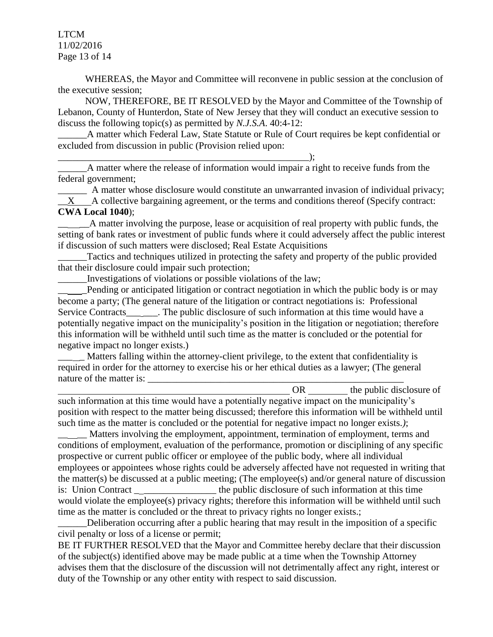LTCM 11/02/2016 Page 13 of 14

WHEREAS, the Mayor and Committee will reconvene in public session at the conclusion of the executive session;

NOW, THEREFORE, BE IT RESOLVED by the Mayor and Committee of the Township of Lebanon, County of Hunterdon, State of New Jersey that they will conduct an executive session to discuss the following topic(s) as permitted by *N.J.S.A*. 40:4-12:

A matter which Federal Law, State Statute or Rule of Court requires be kept confidential or excluded from discussion in public (Provision relied upon:

\_\_\_\_\_\_\_\_\_\_\_\_\_\_\_\_\_\_\_\_\_\_\_\_\_\_\_\_\_\_\_\_\_\_\_\_\_\_\_\_\_\_\_\_\_\_\_\_\_\_\_\_);

A matter where the release of information would impair a right to receive funds from the federal government;

A matter whose disclosure would constitute an unwarranted invasion of individual privacy; X A collective bargaining agreement, or the terms and conditions thereof (Specify contract: **CWA Local 1040**);

\_\_ \_\_A matter involving the purpose, lease or acquisition of real property with public funds, the setting of bank rates or investment of public funds where it could adversely affect the public interest if discussion of such matters were disclosed; Real Estate Acquisitions

Tactics and techniques utilized in protecting the safety and property of the public provided that their disclosure could impair such protection;

\_\_\_\_\_\_Investigations of violations or possible violations of the law;

Pending or anticipated litigation or contract negotiation in which the public body is or may become a party; (The general nature of the litigation or contract negotiations is: Professional Service Contracts\_\_\_\_\_\_. The public disclosure of such information at this time would have a potentially negative impact on the municipality's position in the litigation or negotiation; therefore this information will be withheld until such time as the matter is concluded or the potential for negative impact no longer exists.)

Matters falling within the attorney-client privilege, to the extent that confidentiality is required in order for the attorney to exercise his or her ethical duties as a lawyer; (The general nature of the matter is:

OR the public disclosure of

such information at this time would have a potentially negative impact on the municipality's position with respect to the matter being discussed; therefore this information will be withheld until such time as the matter is concluded or the potential for negative impact no longer exists.*)*;

Matters involving the employment, appointment, termination of employment, terms and conditions of employment, evaluation of the performance, promotion or disciplining of any specific prospective or current public officer or employee of the public body, where all individual employees or appointees whose rights could be adversely affected have not requested in writing that the matter(s) be discussed at a public meeting; (The employee(s) and/or general nature of discussion is: Union Contract the public disclosure of such information at this time would violate the employee(s) privacy rights; therefore this information will be withheld until such time as the matter is concluded or the threat to privacy rights no longer exists.;

Deliberation occurring after a public hearing that may result in the imposition of a specific civil penalty or loss of a license or permit;

BE IT FURTHER RESOLVED that the Mayor and Committee hereby declare that their discussion of the subject(s) identified above may be made public at a time when the Township Attorney advises them that the disclosure of the discussion will not detrimentally affect any right, interest or duty of the Township or any other entity with respect to said discussion.